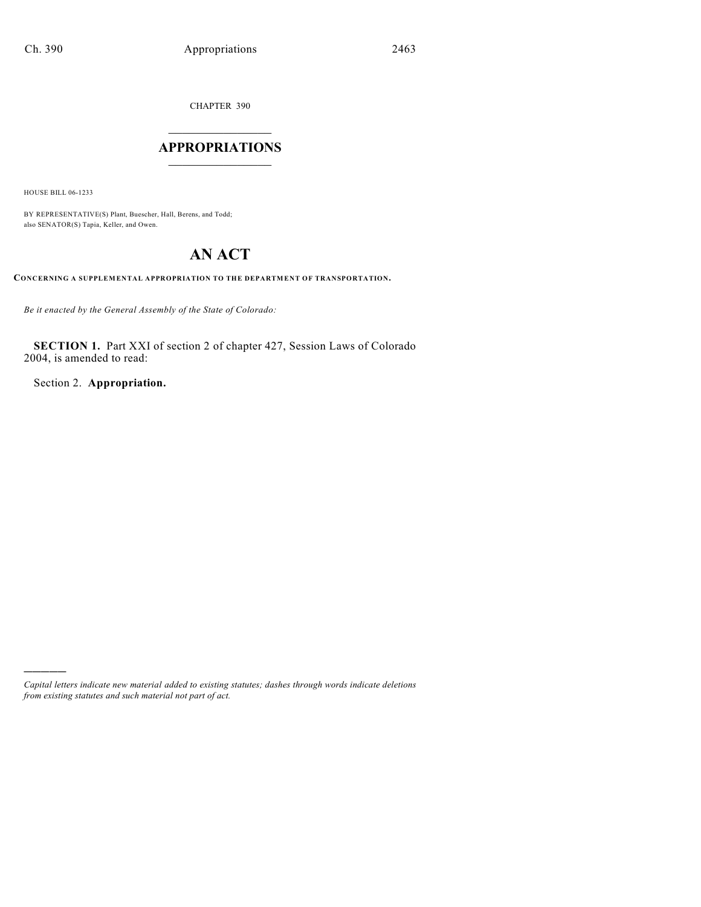CHAPTER 390

## $\mathcal{L}_\text{max}$  . The set of the set of the set of the set of the set of the set of the set of the set of the set of the set of the set of the set of the set of the set of the set of the set of the set of the set of the set **APPROPRIATIONS**  $\_$   $\_$   $\_$   $\_$   $\_$   $\_$   $\_$   $\_$

HOUSE BILL 06-1233

)))))

BY REPRESENTATIVE(S) Plant, Buescher, Hall, Berens, and Todd; also SENATOR(S) Tapia, Keller, and Owen.

## **AN ACT**

**CONCERNING A SUPPLEMENTAL APPROPRIATION TO THE DEPARTMENT OF TRANSPORTATION.**

*Be it enacted by the General Assembly of the State of Colorado:*

**SECTION 1.** Part XXI of section 2 of chapter 427, Session Laws of Colorado 2004, is amended to read:

Section 2. **Appropriation.**

*Capital letters indicate new material added to existing statutes; dashes through words indicate deletions from existing statutes and such material not part of act.*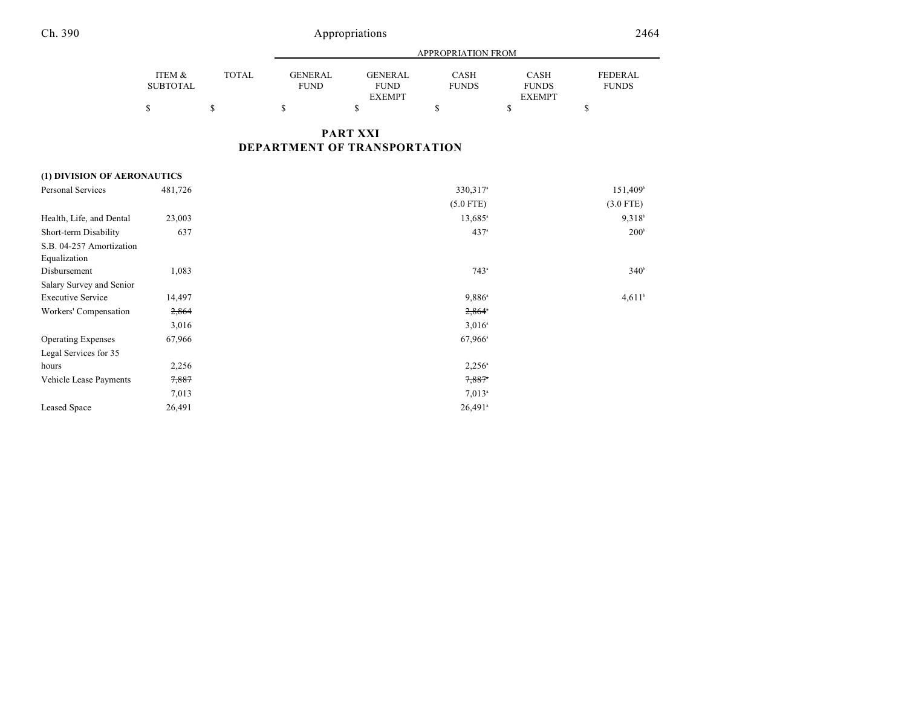|                             |                           |              | APPROPRIATION FROM            |                                                |                             |                                              |                         |
|-----------------------------|---------------------------|--------------|-------------------------------|------------------------------------------------|-----------------------------|----------------------------------------------|-------------------------|
|                             | ITEM &<br><b>SUBTOTAL</b> | <b>TOTAL</b> | <b>GENERAL</b><br><b>FUND</b> | <b>GENERAL</b><br><b>FUND</b><br><b>EXEMPT</b> | <b>CASH</b><br><b>FUNDS</b> | <b>CASH</b><br><b>FUNDS</b><br><b>EXEMPT</b> | FEDERAL<br><b>FUNDS</b> |
|                             | \$                        | $\mathbb{S}$ | \$                            | \$                                             | \$                          | \$                                           | \$                      |
|                             |                           |              |                               | <b>PART XXI</b>                                |                             |                                              |                         |
|                             |                           |              |                               | DEPARTMENT OF TRANSPORTATION                   |                             |                                              |                         |
| (1) DIVISION OF AERONAUTICS |                           |              |                               |                                                |                             |                                              |                         |
| <b>Personal Services</b>    | 481,726                   |              |                               |                                                | 330, 317 <sup>a</sup>       |                                              | 151,409 <sup>b</sup>    |
|                             |                           |              |                               |                                                | $(5.0$ FTE)                 |                                              | $(3.0$ FTE)             |
| Health, Life, and Dental    | 23,003                    |              |                               |                                                | $13,685$ <sup>a</sup>       |                                              | $9,318^{b}$             |
| Short-term Disability       | 637                       |              |                               |                                                | 437 <sup>a</sup>            |                                              | 200 <sup>b</sup>        |
| S.B. 04-257 Amortization    |                           |              |                               |                                                |                             |                                              |                         |
| Equalization                |                           |              |                               |                                                |                             |                                              |                         |
| Disbursement                | 1,083                     |              |                               |                                                | $743^{\circ}$               |                                              | 340 <sup>b</sup>        |
| Salary Survey and Senior    |                           |              |                               |                                                |                             |                                              |                         |
| <b>Executive Service</b>    | 14,497                    |              |                               |                                                | 9,886 <sup>a</sup>          |                                              | $4,611$ <sup>b</sup>    |
| Workers' Compensation       | 2,864                     |              |                               |                                                | $2,864$ <sup>*</sup>        |                                              |                         |
|                             | 3,016                     |              |                               |                                                | $3,016^{\circ}$             |                                              |                         |
| <b>Operating Expenses</b>   | 67,966                    |              |                               |                                                | $67,966^{\circ}$            |                                              |                         |
| Legal Services for 35       |                           |              |                               |                                                |                             |                                              |                         |
| hours                       | 2,256                     |              |                               |                                                | $2,256^{\circ}$             |                                              |                         |
| Vehicle Lease Payments      | 7,887                     |              |                               |                                                | $7,887$ <sup>*</sup>        |                                              |                         |
|                             | 7,013                     |              |                               |                                                | $7,013$ <sup>a</sup>        |                                              |                         |
| <b>Leased Space</b>         | 26,491                    |              |                               |                                                | $26,491$ <sup>a</sup>       |                                              |                         |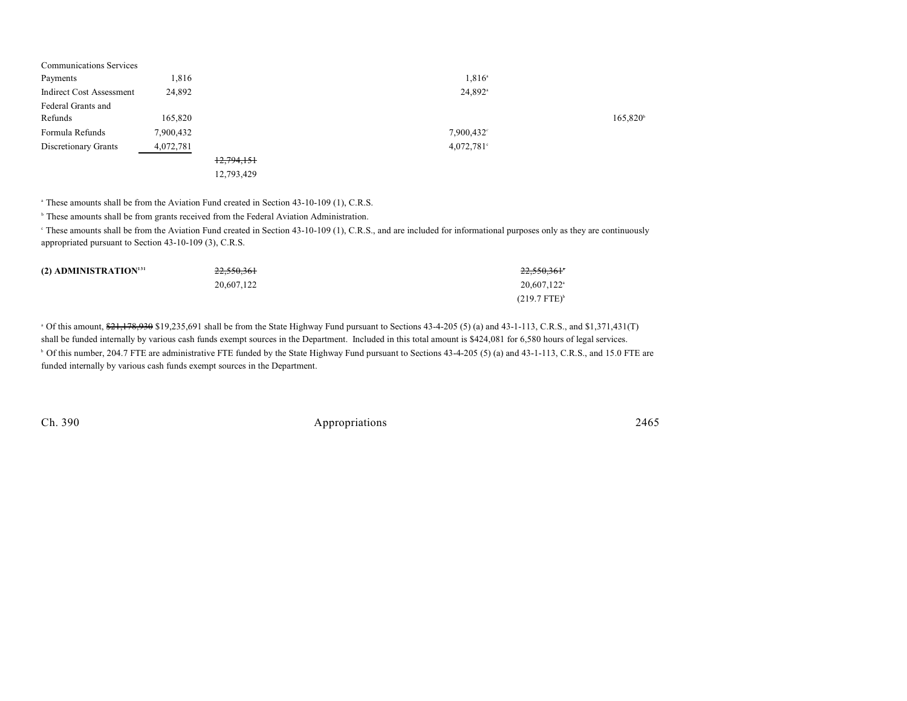| 1,816     |            | $1,816^{\circ}$       |                      |
|-----------|------------|-----------------------|----------------------|
| 24,892    |            | $24,892$ <sup>a</sup> |                      |
|           |            |                       |                      |
| 165,820   |            |                       | 165,820 <sup>b</sup> |
| 7,900,432 |            | $7,900,432^{\circ}$   |                      |
| 4,072,781 |            | $4,072,781$ °         |                      |
|           | 12,794,151 |                       |                      |
|           | 12,793,429 |                       |                      |
|           |            |                       |                      |

<sup>a</sup> These amounts shall be from the Aviation Fund created in Section 43-10-109 (1), C.R.S.

<sup>b</sup> These amounts shall be from grants received from the Federal Aviation Administration.

<sup>e</sup> These amounts shall be from the Aviation Fund created in Section 43-10-109 (1), C.R.S., and are included for informational purposes only as they are continuously appropriated pursuant to Section 43-10-109 (3), C.R.S.

| (2) ADMINISTRATION <sup>131</sup> | 22,550,361 | 22,550,361°              |
|-----------------------------------|------------|--------------------------|
|                                   | 20.607.122 | 20,607,122 <sup>a</sup>  |
|                                   |            | $(219.7$ FTE $)^{\rm b}$ |

 $^{\circ}$  Of this amount,  $\frac{621}{371}$ ,  $\frac{430}{993}$ ,  $\frac{819}{235}$ ,  $\frac{691}{371}$  shall be from the State Highway Fund pursuant to Sections 43-4-205 (5) (a) and 43-1-113, C.R.S., and \$1,371,431(T) shall be funded internally by various cash funds exempt sources in the Department. Included in this total amount is \$424,081 for 6,580 hours of legal services. <sup>b</sup> Of this number, 204.7 FTE are administrative FTE funded by the State Highway Fund pursuant to Sections 43-4-205 (5) (a) and 43-1-113, C.R.S., and 15.0 FTE are funded internally by various cash funds exempt sources in the Department.

Ch. 390 Appropriations 2465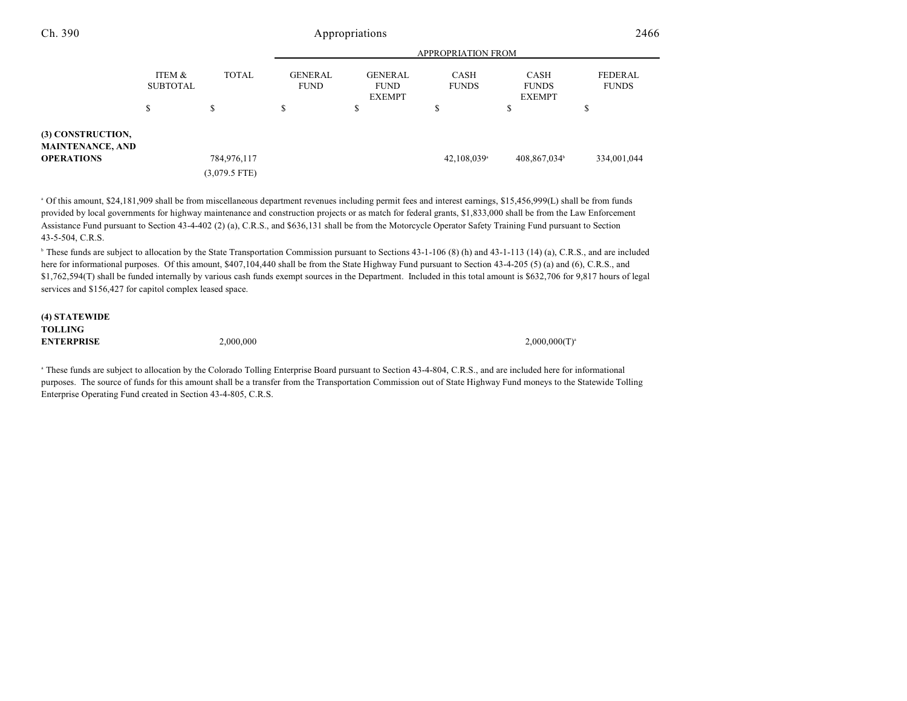|                                                                   |                           |                 | <b>APPROPRIATION FROM</b>     |                                                |                             |                                              |                                |
|-------------------------------------------------------------------|---------------------------|-----------------|-------------------------------|------------------------------------------------|-----------------------------|----------------------------------------------|--------------------------------|
|                                                                   | ITEM &<br><b>SUBTOTAL</b> | <b>TOTAL</b>    | <b>GENERAL</b><br><b>FUND</b> | <b>GENERAL</b><br><b>FUND</b><br><b>EXEMPT</b> | <b>CASH</b><br><b>FUNDS</b> | <b>CASH</b><br><b>FUNDS</b><br><b>EXEMPT</b> | <b>FEDERAL</b><br><b>FUNDS</b> |
|                                                                   | \$                        | S               | \$                            | \$                                             | \$                          | ٠D                                           | Ф                              |
| <b>(3) CONSTRUCTION,</b><br>MAINTENANCE, AND<br><b>OPERATIONS</b> |                           | 784,976,117     |                               |                                                | $42,108,039$ <sup>a</sup>   | 408,867,034 <sup>b</sup>                     | 334,001,044                    |
|                                                                   |                           | $(3,079.5$ FTE) |                               |                                                |                             |                                              |                                |

 Of this amount, \$24,181,909 shall be from miscellaneous department revenues including permit fees and interest earnings, \$15,456,999(L) shall be from funds <sup>a</sup> provided by local governments for highway maintenance and construction projects or as match for federal grants, \$1,833,000 shall be from the Law Enforcement Assistance Fund pursuant to Section 43-4-402 (2) (a), C.R.S., and \$636,131 shall be from the Motorcycle Operator Safety Training Fund pursuant to Section 43-5-504, C.R.S.

<sup>b</sup> These funds are subject to allocation by the State Transportation Commission pursuant to Sections 43-1-106 (8) (h) and 43-1-113 (14) (a), C.R.S., and are included here for informational purposes. Of this amount, \$407,104,440 shall be from the State Highway Fund pursuant to Section 43-4-205 (5) (a) and (6), C.R.S., and \$1,762,594(T) shall be funded internally by various cash funds exempt sources in the Department. Included in this total amount is \$632,706 for 9,817 hours of legal services and \$156,427 for capitol complex leased space.

| (4) STATEWIDE     |           |                    |
|-------------------|-----------|--------------------|
| <b>TOLLING</b>    |           |                    |
| <b>ENTERPRISE</b> | 2,000,000 | $2,000,000(T)^{s}$ |

<sup>a</sup> These funds are subject to allocation by the Colorado Tolling Enterprise Board pursuant to Section 43-4-804, C.R.S., and are included here for informational purposes. The source of funds for this amount shall be a transfer from the Transportation Commission out of State Highway Fund moneys to the Statewide Tolling Enterprise Operating Fund created in Section 43-4-805, C.R.S.